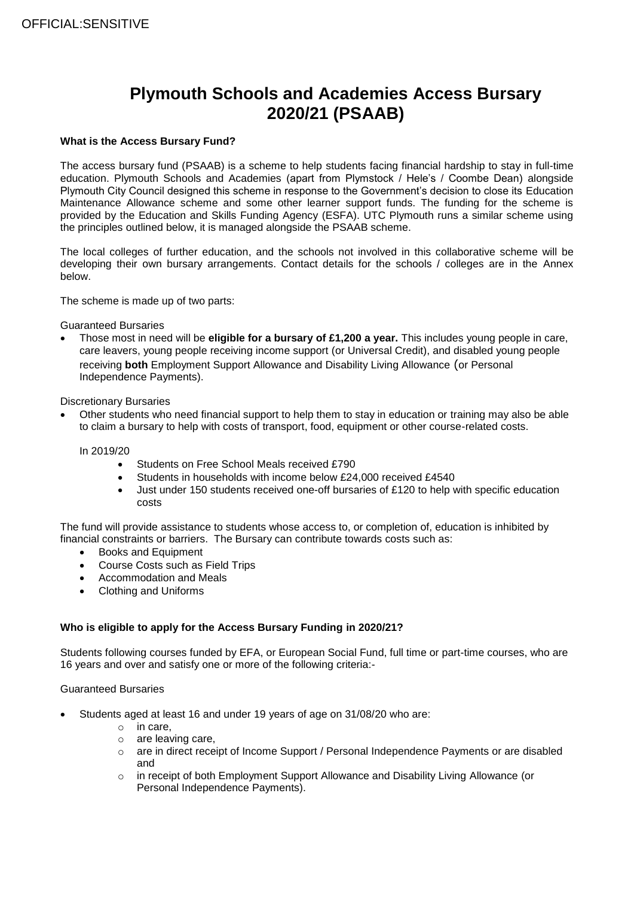# **Plymouth Schools and Academies Access Bursary 2020/21 (PSAAB)**

### **What is the Access Bursary Fund?**

The access bursary fund (PSAAB) is a scheme to help students facing financial hardship to stay in full-time education. Plymouth Schools and Academies (apart from Plymstock / Hele's / Coombe Dean) alongside Plymouth City Council designed this scheme in response to the Government's decision to close its Education Maintenance Allowance scheme and some other learner support funds. The funding for the scheme is provided by the Education and Skills Funding Agency (ESFA). UTC Plymouth runs a similar scheme using the principles outlined below, it is managed alongside the PSAAB scheme.

The local colleges of further education, and the schools not involved in this collaborative scheme will be developing their own bursary arrangements. Contact details for the schools / colleges are in the Annex below.

The scheme is made up of two parts:

Guaranteed Bursaries

 Those most in need will be **eligible for a bursary of £1,200 a year.** This includes young people in care, care leavers, young people receiving income support (or Universal Credit), and disabled young people receiving **both** Employment Support Allowance and Disability Living Allowance (or Personal Independence Payments).

Discretionary Bursaries

 Other students who need financial support to help them to stay in education or training may also be able to claim a bursary to help with costs of transport, food, equipment or other course-related costs.

In 2019/20

- Students on Free School Meals received £790
- Students in households with income below £24,000 received £4540
- Just under 150 students received one-off bursaries of £120 to help with specific education costs

The fund will provide assistance to students whose access to, or completion of, education is inhibited by financial constraints or barriers. The Bursary can contribute towards costs such as:

- Books and Equipment
- Course Costs such as Field Trips
- Accommodation and Meals
- Clothing and Uniforms

### **Who is eligible to apply for the Access Bursary Funding in 2020/21?**

Students following courses funded by EFA, or European Social Fund, full time or part-time courses, who are 16 years and over and satisfy one or more of the following criteria:-

#### Guaranteed Bursaries

- Students aged at least 16 and under 19 years of age on 31/08/20 who are:
	- o in care,
	- o are leaving care,
	- o are in direct receipt of Income Support / Personal Independence Payments or are disabled and
	- o in receipt of both Employment Support Allowance and Disability Living Allowance (or Personal Independence Payments).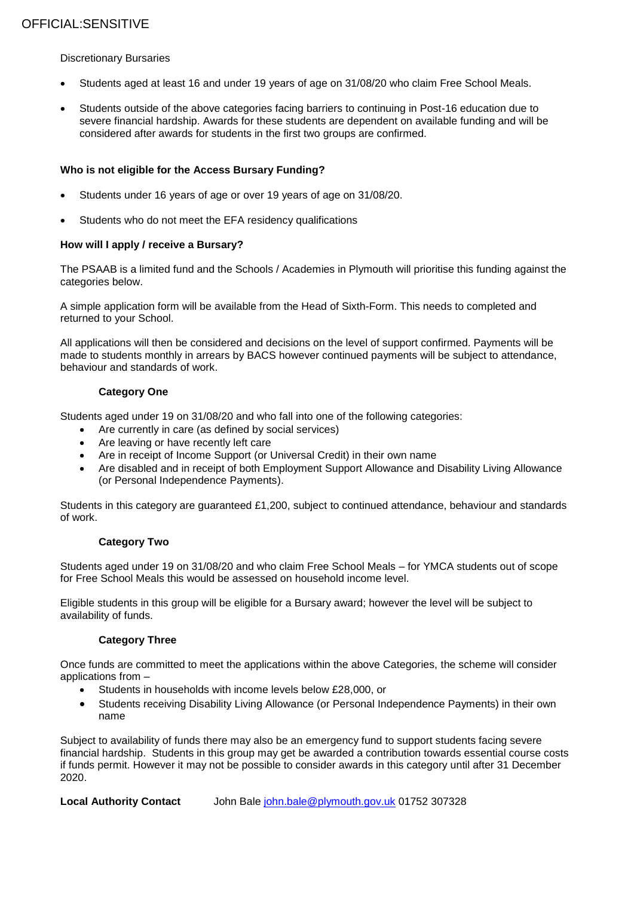### Discretionary Bursaries

- Students aged at least 16 and under 19 years of age on 31/08/20 who claim Free School Meals.
- Students outside of the above categories facing barriers to continuing in Post-16 education due to severe financial hardship. Awards for these students are dependent on available funding and will be considered after awards for students in the first two groups are confirmed.

### **Who is not eligible for the Access Bursary Funding?**

- Students under 16 years of age or over 19 years of age on 31/08/20.
- Students who do not meet the EFA residency qualifications

### **How will I apply / receive a Bursary?**

The PSAAB is a limited fund and the Schools / Academies in Plymouth will prioritise this funding against the categories below.

A simple application form will be available from the Head of Sixth-Form. This needs to completed and returned to your School.

All applications will then be considered and decisions on the level of support confirmed. Payments will be made to students monthly in arrears by BACS however continued payments will be subject to attendance, behaviour and standards of work.

### **Category One**

Students aged under 19 on 31/08/20 and who fall into one of the following categories:

- Are currently in care (as defined by social services)
- Are leaving or have recently left care
- Are in receipt of Income Support (or Universal Credit) in their own name
- Are disabled and in receipt of both Employment Support Allowance and Disability Living Allowance (or Personal Independence Payments).

Students in this category are guaranteed £1,200, subject to continued attendance, behaviour and standards of work.

### **Category Two**

Students aged under 19 on 31/08/20 and who claim Free School Meals – for YMCA students out of scope for Free School Meals this would be assessed on household income level.

Eligible students in this group will be eligible for a Bursary award; however the level will be subject to availability of funds.

#### **Category Three**

Once funds are committed to meet the applications within the above Categories, the scheme will consider applications from –

- Students in households with income levels below £28,000, or
- Students receiving Disability Living Allowance (or Personal Independence Payments) in their own name

Subject to availability of funds there may also be an emergency fund to support students facing severe financial hardship. Students in this group may get be awarded a contribution towards essential course costs if funds permit. However it may not be possible to consider awards in this category until after 31 December 2020.

**Local Authority Contact** John Bale [john.bale@plymouth.gov.uk](mailto:john.bale@plymouth.gov.uk) 01752 307328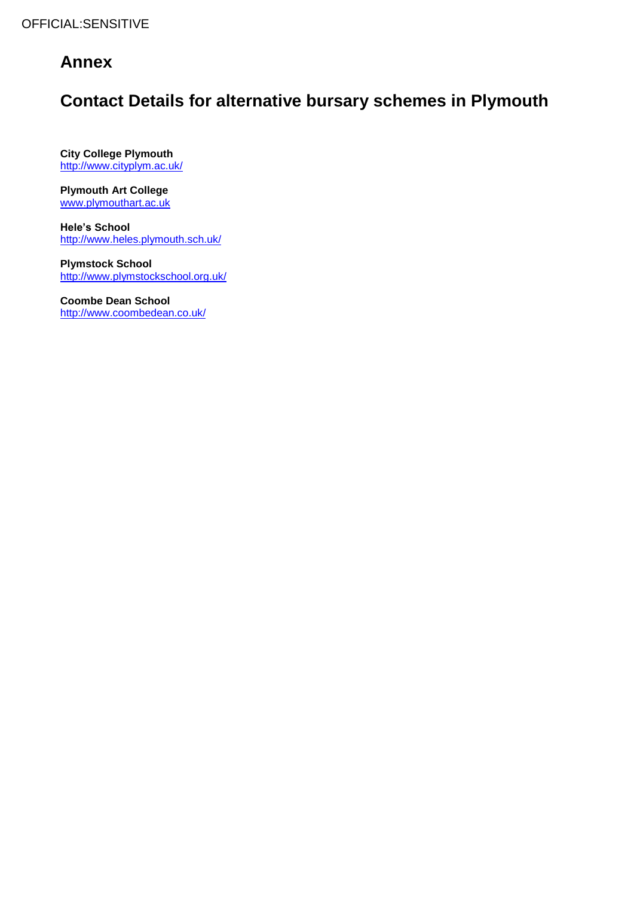# **Annex**

# **Contact Details for alternative bursary schemes in Plymouth**

**City College Plymouth**  <http://www.cityplym.ac.uk/>

# **Plymouth Art College**

[www.plymouthart.ac.uk](http://www.plymouthart.ac.uk/)

**Hele's School** <http://www.heles.plymouth.sch.uk/>

**Plymstock School** <http://www.plymstockschool.org.uk/>

**Coombe Dean School** <http://www.coombedean.co.uk/>